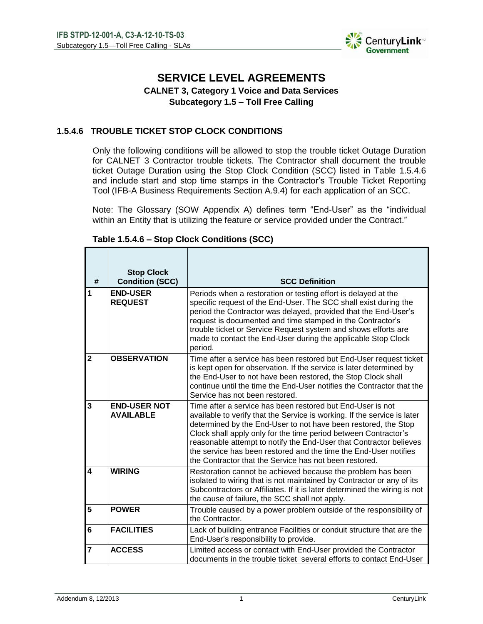

# **SERVICE LEVEL AGREEMENTS**

## **CALNET 3, Category 1 Voice and Data Services Subcategory 1.5 – Toll Free Calling**

### **1.5.4.6 TROUBLE TICKET STOP CLOCK CONDITIONS**

Only the following conditions will be allowed to stop the trouble ticket Outage Duration for CALNET 3 Contractor trouble tickets. The Contractor shall document the trouble ticket Outage Duration using the Stop Clock Condition (SCC) listed in Table 1.5.4.6 and include start and stop time stamps in the Contractor's Trouble Ticket Reporting Tool (IFB-A Business Requirements Section A.9.4) for each application of an SCC.

Note: The Glossary (SOW Appendix A) defines term "End-User" as the "individual within an Entity that is utilizing the feature or service provided under the Contract."

| #                       | <b>Stop Clock</b><br><b>Condition (SCC)</b> | <b>SCC Definition</b>                                                                                                                                                                                                                                                                                                                                                                                                                                                           |
|-------------------------|---------------------------------------------|---------------------------------------------------------------------------------------------------------------------------------------------------------------------------------------------------------------------------------------------------------------------------------------------------------------------------------------------------------------------------------------------------------------------------------------------------------------------------------|
| 1                       | <b>END-USER</b><br><b>REQUEST</b>           | Periods when a restoration or testing effort is delayed at the<br>specific request of the End-User. The SCC shall exist during the<br>period the Contractor was delayed, provided that the End-User's<br>request is documented and time stamped in the Contractor's<br>trouble ticket or Service Request system and shows efforts are<br>made to contact the End-User during the applicable Stop Clock<br>period.                                                               |
| $\overline{2}$          | <b>OBSERVATION</b>                          | Time after a service has been restored but End-User request ticket<br>is kept open for observation. If the service is later determined by<br>the End-User to not have been restored, the Stop Clock shall<br>continue until the time the End-User notifies the Contractor that the<br>Service has not been restored.                                                                                                                                                            |
| $\overline{3}$          | <b>END-USER NOT</b><br><b>AVAILABLE</b>     | Time after a service has been restored but End-User is not<br>available to verify that the Service is working. If the service is later<br>determined by the End-User to not have been restored, the Stop<br>Clock shall apply only for the time period between Contractor's<br>reasonable attempt to notify the End-User that Contractor believes<br>the service has been restored and the time the End-User notifies<br>the Contractor that the Service has not been restored. |
| $\overline{\mathbf{4}}$ | <b>WIRING</b>                               | Restoration cannot be achieved because the problem has been<br>isolated to wiring that is not maintained by Contractor or any of its<br>Subcontractors or Affiliates. If it is later determined the wiring is not<br>the cause of failure, the SCC shall not apply.                                                                                                                                                                                                             |
| 5                       | <b>POWER</b>                                | Trouble caused by a power problem outside of the responsibility of<br>the Contractor.                                                                                                                                                                                                                                                                                                                                                                                           |
| $6\phantom{1}$          | <b>FACILITIES</b>                           | Lack of building entrance Facilities or conduit structure that are the<br>End-User's responsibility to provide.                                                                                                                                                                                                                                                                                                                                                                 |
| 7                       | <b>ACCESS</b>                               | Limited access or contact with End-User provided the Contractor<br>documents in the trouble ticket several efforts to contact End-User                                                                                                                                                                                                                                                                                                                                          |

### **Table 1.5.4.6 – Stop Clock Conditions (SCC)**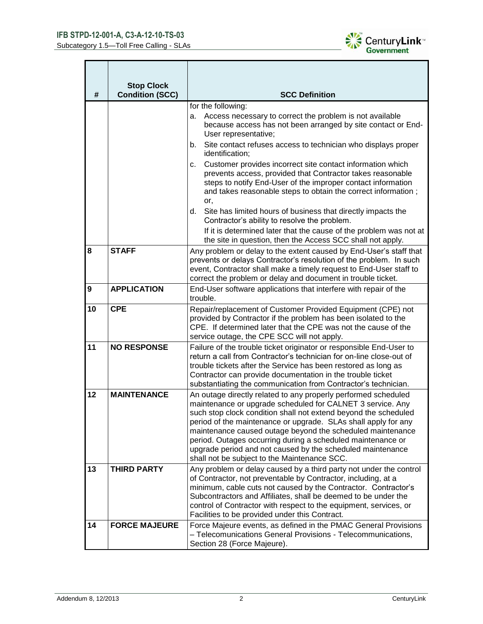

| #  | <b>Stop Clock</b><br><b>Condition (SCC)</b> | <b>SCC Definition</b>                                                                                                                                                                                                                                                                                                                                                                                                                                                                                        |
|----|---------------------------------------------|--------------------------------------------------------------------------------------------------------------------------------------------------------------------------------------------------------------------------------------------------------------------------------------------------------------------------------------------------------------------------------------------------------------------------------------------------------------------------------------------------------------|
|    |                                             | for the following:<br>Access necessary to correct the problem is not available<br>a.                                                                                                                                                                                                                                                                                                                                                                                                                         |
|    |                                             | because access has not been arranged by site contact or End-<br>User representative;                                                                                                                                                                                                                                                                                                                                                                                                                         |
|    |                                             | Site contact refuses access to technician who displays proper<br>b.<br>identification;                                                                                                                                                                                                                                                                                                                                                                                                                       |
|    |                                             | Customer provides incorrect site contact information which<br>c.<br>prevents access, provided that Contractor takes reasonable<br>steps to notify End-User of the improper contact information<br>and takes reasonable steps to obtain the correct information;<br>or,                                                                                                                                                                                                                                       |
|    |                                             | Site has limited hours of business that directly impacts the<br>d.<br>Contractor's ability to resolve the problem.                                                                                                                                                                                                                                                                                                                                                                                           |
|    |                                             | If it is determined later that the cause of the problem was not at<br>the site in question, then the Access SCC shall not apply.                                                                                                                                                                                                                                                                                                                                                                             |
| 8  | <b>STAFF</b>                                | Any problem or delay to the extent caused by End-User's staff that<br>prevents or delays Contractor's resolution of the problem. In such<br>event, Contractor shall make a timely request to End-User staff to<br>correct the problem or delay and document in trouble ticket.                                                                                                                                                                                                                               |
| 9  | <b>APPLICATION</b>                          | End-User software applications that interfere with repair of the<br>trouble.                                                                                                                                                                                                                                                                                                                                                                                                                                 |
| 10 | <b>CPE</b>                                  | Repair/replacement of Customer Provided Equipment (CPE) not<br>provided by Contractor if the problem has been isolated to the<br>CPE. If determined later that the CPE was not the cause of the<br>service outage, the CPE SCC will not apply.                                                                                                                                                                                                                                                               |
| 11 | <b>NO RESPONSE</b>                          | Failure of the trouble ticket originator or responsible End-User to<br>return a call from Contractor's technician for on-line close-out of<br>trouble tickets after the Service has been restored as long as<br>Contractor can provide documentation in the trouble ticket<br>substantiating the communication from Contractor's technician.                                                                                                                                                                 |
| 12 | <b>MAINTENANCE</b>                          | An outage directly related to any properly performed scheduled<br>maintenance or upgrade scheduled for CALNET 3 service. Any<br>such stop clock condition shall not extend beyond the scheduled<br>period of the maintenance or upgrade. SLAs shall apply for any<br>maintenance caused outage beyond the scheduled maintenance<br>period. Outages occurring during a scheduled maintenance or<br>upgrade period and not caused by the scheduled maintenance<br>shall not be subject to the Maintenance SCC. |
| 13 | <b>THIRD PARTY</b>                          | Any problem or delay caused by a third party not under the control<br>of Contractor, not preventable by Contractor, including, at a<br>minimum, cable cuts not caused by the Contractor. Contractor's<br>Subcontractors and Affiliates, shall be deemed to be under the<br>control of Contractor with respect to the equipment, services, or<br>Facilities to be provided under this Contract.                                                                                                               |
| 14 | <b>FORCE MAJEURE</b>                        | Force Majeure events, as defined in the PMAC General Provisions<br>- Telecomunications General Provisions - Telecommunications,<br>Section 28 (Force Majeure).                                                                                                                                                                                                                                                                                                                                               |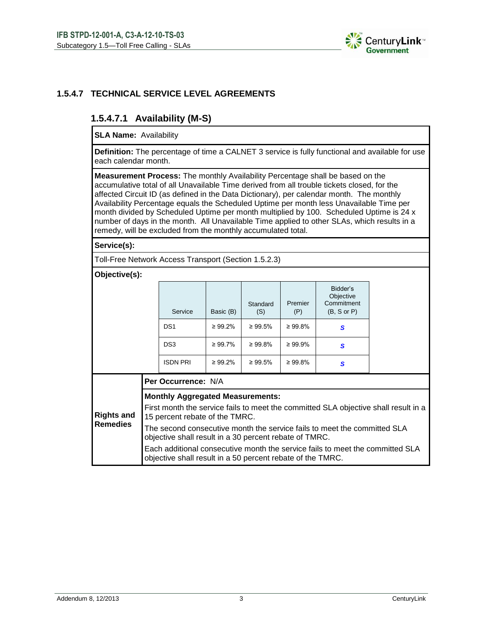

### **1.5.4.7 TECHNICAL SERVICE LEVEL AGREEMENTS**

## **1.5.4.7.1 Availability (M-S)**

**SLA Name:** Availability

**Definition:** The percentage of time a CALNET 3 service is fully functional and available for use each calendar month.

**Measurement Process:** The monthly Availability Percentage shall be based on the accumulative total of all Unavailable Time derived from all trouble tickets closed, for the affected Circuit ID (as defined in the Data Dictionary), per calendar month. The monthly Availability Percentage equals the Scheduled Uptime per month less Unavailable Time per month divided by Scheduled Uptime per month multiplied by 100. Scheduled Uptime is 24 x number of days in the month. All Unavailable Time applied to other SLAs, which results in a remedy, will be excluded from the monthly accumulated total.

**Service(s):**

Toll-Free Network Access Transport (Section 1.5.2.3)

#### **Objective(s):**

| Bidder's<br>Objective<br>Commitment<br>Premier<br>Standard<br>Service<br>Basic (B)<br>$(B, S \text{ or } P)$<br>(S)<br>(P)                                                                               |                                                                                     |  |  |  |  |  |  |  |  |
|----------------------------------------------------------------------------------------------------------------------------------------------------------------------------------------------------------|-------------------------------------------------------------------------------------|--|--|--|--|--|--|--|--|
|                                                                                                                                                                                                          |                                                                                     |  |  |  |  |  |  |  |  |
| DS <sub>1</sub><br>$\geq 99.8\%$<br>$\geq 99.2\%$<br>$\geq 99.5\%$<br>S                                                                                                                                  |                                                                                     |  |  |  |  |  |  |  |  |
| DS <sub>3</sub><br>$\geq 99.8\%$<br>$\geq 99.9\%$<br>$\geq 99.7\%$<br>S                                                                                                                                  |                                                                                     |  |  |  |  |  |  |  |  |
| <b>ISDN PRI</b><br>$\geq 99.2\%$<br>$\geq 99.8\%$<br>$\geq 99.5\%$<br>S                                                                                                                                  |                                                                                     |  |  |  |  |  |  |  |  |
| Per Occurrence: N/A                                                                                                                                                                                      |                                                                                     |  |  |  |  |  |  |  |  |
| <b>Monthly Aggregated Measurements:</b><br><b>Rights and</b><br>15 percent rebate of the TMRC.<br><b>Remedies</b><br>The second consecutive month the service fails to meet the committed $SI$ $\Lambda$ | First month the service fails to meet the committed SLA objective shall result in a |  |  |  |  |  |  |  |  |

cond consecutive month the service fails to meet the committed SLA objective shall result in a 30 percent rebate of TMRC. Each additional consecutive month the service fails to meet the committed SLA

objective shall result in a 50 percent rebate of the TMRC.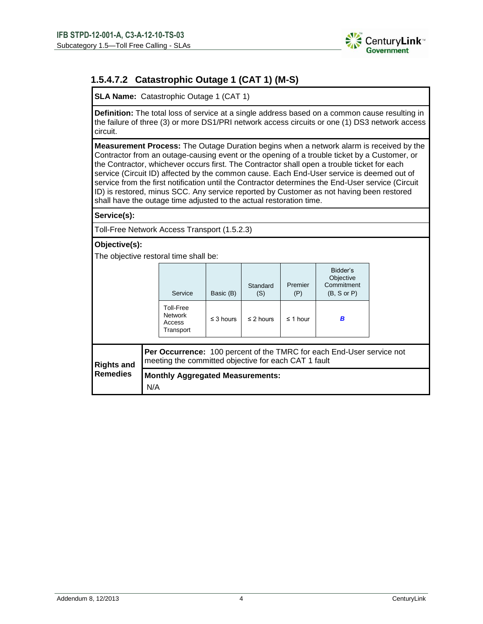

## **1.5.4.7.2 Catastrophic Outage 1 (CAT 1) (M-S)**

**SLA Name:** Catastrophic Outage 1 (CAT 1)

**Definition:** The total loss of service at a single address based on a common cause resulting in the failure of three (3) or more DS1/PRI network access circuits or one (1) DS3 network access circuit.

**Measurement Process:** The Outage Duration begins when a network alarm is received by the Contractor from an outage-causing event or the opening of a trouble ticket by a Customer, or the Contractor, whichever occurs first. The Contractor shall open a trouble ticket for each service (Circuit ID) affected by the common cause. Each End-User service is deemed out of service from the first notification until the Contractor determines the End-User service (Circuit ID) is restored, minus SCC. Any service reported by Customer as not having been restored shall have the outage time adjusted to the actual restoration time.

**Service(s):**

Toll-Free Network Access Transport (1.5.2.3)

### **Objective(s):**

The objective restoral time shall be:

|                                                                                                                                                           |     | Service                                            | Basic (B)      | Standard<br>(S) | Premier<br>(P) | Bidder's<br>Objective<br>Commitment<br>$(B, S \text{ or } P)$ |  |  |
|-----------------------------------------------------------------------------------------------------------------------------------------------------------|-----|----------------------------------------------------|----------------|-----------------|----------------|---------------------------------------------------------------|--|--|
|                                                                                                                                                           |     | Toll-Free<br><b>Network</b><br>Access<br>Transport | $\leq$ 3 hours | $\leq$ 2 hours  | $\leq$ 1 hour  | B                                                             |  |  |
| <b>Per Occurrence:</b> 100 percent of the TMRC for each End-User service not<br>meeting the committed objective for each CAT 1 fault<br><b>Rights and</b> |     |                                                    |                |                 |                |                                                               |  |  |
| <b>Remedies</b>                                                                                                                                           | N/A | <b>Monthly Aggregated Measurements:</b>            |                |                 |                |                                                               |  |  |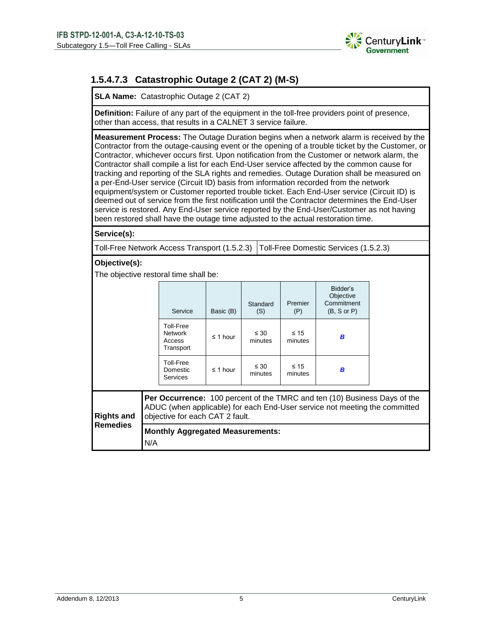

## **1.5.4.7.3 Catastrophic Outage 2 (CAT 2) (M-S)**

**SLA Name:** Catastrophic Outage 2 (CAT 2)

**Definition:** Failure of any part of the equipment in the toll-free providers point of presence, other than access, that results in a CALNET 3 service failure.

**Measurement Process:** The Outage Duration begins when a network alarm is received by the Contractor from the outage-causing event or the opening of a trouble ticket by the Customer, or Contractor, whichever occurs first. Upon notification from the Customer or network alarm, the Contractor shall compile a list for each End-User service affected by the common cause for tracking and reporting of the SLA rights and remedies. Outage Duration shall be measured on a per-End-User service (Circuit ID) basis from information recorded from the network equipment/system or Customer reported trouble ticket. Each End-User service (Circuit ID) is deemed out of service from the first notification until the Contractor determines the End-User service is restored. Any End-User service reported by the End-User/Customer as not having been restored shall have the outage time adjusted to the actual restoration time.

**Service(s):**

Toll-Free Network Access Transport (1.5.2.3) Toll-Free Domestic Services (1.5.2.3)

#### **Objective(s):**

The objective restoral time shall be:

|                                                                                                                                                                                                                 |                                                | Service                                            | Basic (B)     | Standard<br>(S)      | Premier<br>(P)       | Bidder's<br>Objective<br>Commitment<br>$(B, S \text{ or } P)$ |  |  |
|-----------------------------------------------------------------------------------------------------------------------------------------------------------------------------------------------------------------|------------------------------------------------|----------------------------------------------------|---------------|----------------------|----------------------|---------------------------------------------------------------|--|--|
|                                                                                                                                                                                                                 |                                                | Toll-Free<br><b>Network</b><br>Access<br>Transport | $\leq$ 1 hour | $\leq 30$<br>minutes | $\leq 15$<br>minutes | B                                                             |  |  |
|                                                                                                                                                                                                                 |                                                | Toll-Free<br>Domestic<br><b>Services</b>           | $\leq$ 1 hour | $\leq 30$<br>minutes | $\leq 15$<br>minutes | B                                                             |  |  |
| Per Occurrence: 100 percent of the TMRC and ten (10) Business Days of the<br>ADUC (when applicable) for each End-User service not meeting the committed<br><b>Rights and</b><br>objective for each CAT 2 fault. |                                                |                                                    |               |                      |                      |                                                               |  |  |
| <b>Remedies</b>                                                                                                                                                                                                 | <b>Monthly Aggregated Measurements:</b><br>N/A |                                                    |               |                      |                      |                                                               |  |  |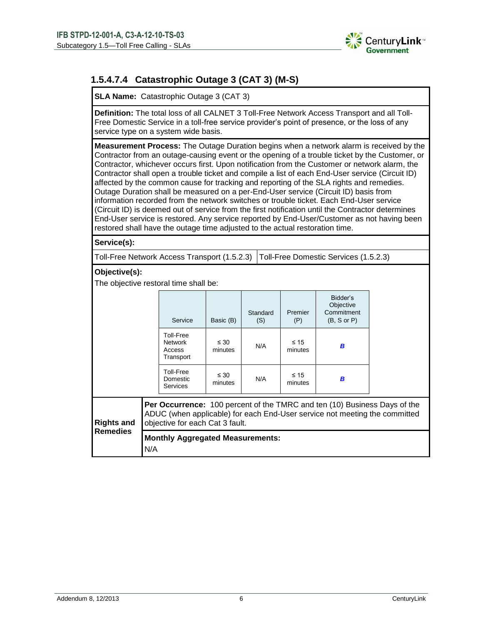

## **1.5.4.7.4 Catastrophic Outage 3 (CAT 3) (M-S)**

**SLA Name:** Catastrophic Outage 3 (CAT 3)

**Definition:** The total loss of all CALNET 3 Toll-Free Network Access Transport and all Toll-Free Domestic Service in a toll-free service provider's point of presence, or the loss of any service type on a system wide basis.

**Measurement Process:** The Outage Duration begins when a network alarm is received by the Contractor from an outage-causing event or the opening of a trouble ticket by the Customer, or Contractor, whichever occurs first. Upon notification from the Customer or network alarm, the Contractor shall open a trouble ticket and compile a list of each End-User service (Circuit ID) affected by the common cause for tracking and reporting of the SLA rights and remedies. Outage Duration shall be measured on a per-End-User service (Circuit ID) basis from information recorded from the network switches or trouble ticket. Each End-User service (Circuit ID) is deemed out of service from the first notification until the Contractor determines End-User service is restored. Any service reported by End-User/Customer as not having been restored shall have the outage time adjusted to the actual restoration time.

#### **Service(s):**

Toll-Free Network Access Transport (1.5.2.3) Toll-Free Domestic Services (1.5.2.3)

#### **Objective(s):**

The objective restoral time shall be:

|                   |                                                                                                                                                                                            | Service                                            | Basic (B)            | Standard<br>(S) | Premier<br>(P)       | Bidder's<br>Objective<br>Commitment<br>$(B, S \text{ or } P)$ |  |  |
|-------------------|--------------------------------------------------------------------------------------------------------------------------------------------------------------------------------------------|----------------------------------------------------|----------------------|-----------------|----------------------|---------------------------------------------------------------|--|--|
|                   |                                                                                                                                                                                            | Toll-Free<br><b>Network</b><br>Access<br>Transport | $\leq 30$<br>minutes | N/A             | $\leq 15$<br>minutes | B                                                             |  |  |
|                   |                                                                                                                                                                                            | Toll-Free<br>Domestic<br><b>Services</b>           | $\leq 30$<br>minutes | N/A             | $\leq 15$<br>minutes | B                                                             |  |  |
| <b>Rights and</b> | Per Occurrence: 100 percent of the TMRC and ten (10) Business Days of the<br>ADUC (when applicable) for each End-User service not meeting the committed<br>objective for each Cat 3 fault. |                                                    |                      |                 |                      |                                                               |  |  |
| <b>Remedies</b>   | <b>Monthly Aggregated Measurements:</b><br>N/A                                                                                                                                             |                                                    |                      |                 |                      |                                                               |  |  |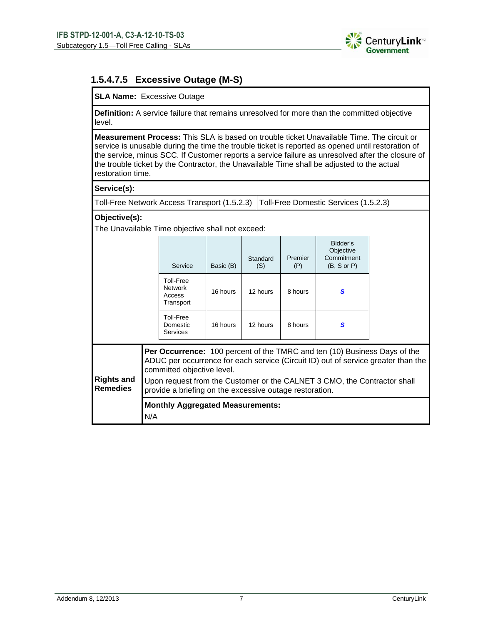

## **1.5.4.7.5 Excessive Outage (M-S)**

### **SLA Name:** Excessive Outage

**Definition:** A service failure that remains unresolved for more than the committed objective level.

**Measurement Process:** This SLA is based on trouble ticket Unavailable Time. The circuit or service is unusable during the time the trouble ticket is reported as opened until restoration of the service, minus SCC. If Customer reports a service failure as unresolved after the closure of the trouble ticket by the Contractor, the Unavailable Time shall be adjusted to the actual restoration time.

### **Service(s):**

Toll-Free Network Access Transport (1.5.2.3) Toll-Free Domestic Services (1.5.2.3)

### **Objective(s):**

The Unavailable Time objective shall not exceed:

|                                      |                                                                                                           | Service                                            | Basic (B) | Standard<br>(S) | Premier<br>(P) | Bidder's<br>Objective<br>Commitment<br>$(B, S \text{ or } P)$                                                                                                |                                                                                   |  |
|--------------------------------------|-----------------------------------------------------------------------------------------------------------|----------------------------------------------------|-----------|-----------------|----------------|--------------------------------------------------------------------------------------------------------------------------------------------------------------|-----------------------------------------------------------------------------------|--|
|                                      |                                                                                                           | Toll-Free<br><b>Network</b><br>Access<br>Transport | 16 hours  | 12 hours        | 8 hours        | S                                                                                                                                                            |                                                                                   |  |
|                                      |                                                                                                           | Toll-Free<br><b>Domestic</b><br><b>Services</b>    | 16 hours  | 12 hours        | 8 hours        | S                                                                                                                                                            |                                                                                   |  |
| <b>Rights and</b><br><b>Remedies</b> |                                                                                                           | committed objective level.                         |           |                 |                | <b>Per Occurrence:</b> 100 percent of the TMRC and ten (10) Business Days of the<br>Upon request from the Customer or the CALNET 3 CMO, the Contractor shall | ADUC per occurrence for each service (Circuit ID) out of service greater than the |  |
|                                      | provide a briefing on the excessive outage restoration.<br><b>Monthly Aggregated Measurements:</b><br>N/A |                                                    |           |                 |                |                                                                                                                                                              |                                                                                   |  |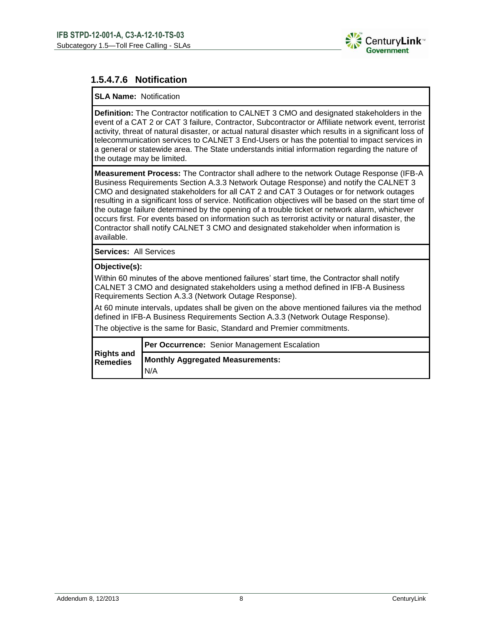

## **1.5.4.7.6 Notification**

### **SLA Name:** Notification

**Definition:** The Contractor notification to CALNET 3 CMO and designated stakeholders in the event of a CAT 2 or CAT 3 failure, Contractor, Subcontractor or Affiliate network event, terrorist activity, threat of natural disaster, or actual natural disaster which results in a significant loss of telecommunication services to CALNET 3 End-Users or has the potential to impact services in a general or statewide area. The State understands initial information regarding the nature of the outage may be limited.

**Measurement Process:** The Contractor shall adhere to the network Outage Response (IFB-A Business Requirements Section A.3.3 Network Outage Response) and notify the CALNET 3 CMO and designated stakeholders for all CAT 2 and CAT 3 Outages or for network outages resulting in a significant loss of service. Notification objectives will be based on the start time of the outage failure determined by the opening of a trouble ticket or network alarm, whichever occurs first. For events based on information such as terrorist activity or natural disaster, the Contractor shall notify CALNET 3 CMO and designated stakeholder when information is available.

**Services:** All Services

### **Objective(s):**

Within 60 minutes of the above mentioned failures' start time, the Contractor shall notify CALNET 3 CMO and designated stakeholders using a method defined in IFB-A Business Requirements Section A.3.3 (Network Outage Response).

At 60 minute intervals, updates shall be given on the above mentioned failures via the method defined in IFB-A Business Requirements Section A.3.3 (Network Outage Response).

The objective is the same for Basic, Standard and Premier commitments.

|                               | Per Occurrence: Senior Management Escalation |
|-------------------------------|----------------------------------------------|
| <b>Rights and</b><br>Remedies | <b>Monthly Aggregated Measurements:</b>      |
|                               | N/A                                          |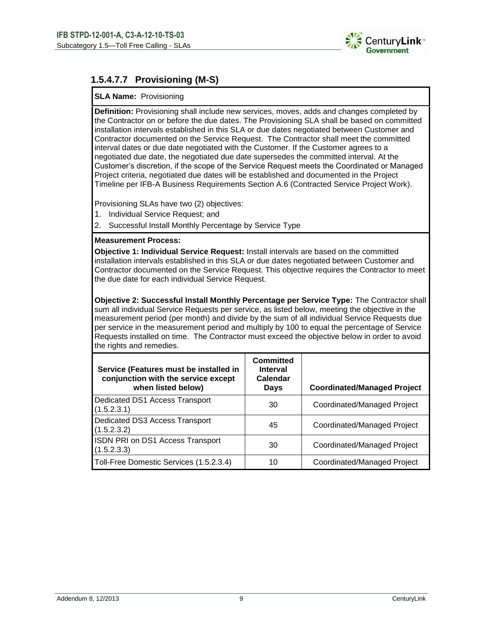

## **1.5.4.7.7 Provisioning (M-S)**

### **SLA Name:** Provisioning

**Definition:** Provisioning shall include new services, moves, adds and changes completed by the Contractor on or before the due dates. The Provisioning SLA shall be based on committed installation intervals established in this SLA or due dates negotiated between Customer and Contractor documented on the Service Request. The Contractor shall meet the committed interval dates or due date negotiated with the Customer. If the Customer agrees to a negotiated due date, the negotiated due date supersedes the committed interval. At the Customer's discretion, if the scope of the Service Request meets the Coordinated or Managed Project criteria, negotiated due dates will be established and documented in the Project Timeline per IFB-A Business Requirements Section A.6 (Contracted Service Project Work).

Provisioning SLAs have two (2) objectives:

- 1. Individual Service Request; and
- 2. Successful Install Monthly Percentage by Service Type

### **Measurement Process:**

**Objective 1: Individual Service Request:** Install intervals are based on the committed installation intervals established in this SLA or due dates negotiated between Customer and Contractor documented on the Service Request. This objective requires the Contractor to meet the due date for each individual Service Request.

**Objective 2: Successful Install Monthly Percentage per Service Type:** The Contractor shall sum all individual Service Requests per service, as listed below, meeting the objective in the measurement period (per month) and divide by the sum of all individual Service Requests due per service in the measurement period and multiply by 100 to equal the percentage of Service Requests installed on time. The Contractor must exceed the objective below in order to avoid the rights and remedies.

| Service (Features must be installed in<br>conjunction with the service except<br>when listed below) | <b>Committed</b><br><b>Interval</b><br>Calendar<br>Days | <b>Coordinated/Managed Project</b> |
|-----------------------------------------------------------------------------------------------------|---------------------------------------------------------|------------------------------------|
| Dedicated DS1 Access Transport<br>(1.5.2.3.1)                                                       | 30                                                      | Coordinated/Managed Project        |
| Dedicated DS3 Access Transport<br>(1.5.2.3.2)                                                       | 45                                                      | Coordinated/Managed Project        |
| <b>ISDN PRI on DS1 Access Transport</b><br>(1.5.2.3.3)                                              | 30                                                      | Coordinated/Managed Project        |
| Toll-Free Domestic Services (1.5.2.3.4)                                                             | 10                                                      | Coordinated/Managed Project        |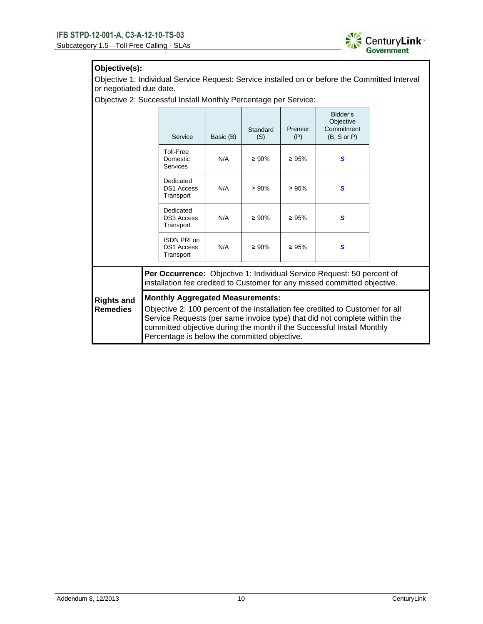

### **Objective(s):**

Objective 1: Individual Service Request: Service installed on or before the Committed Interval or negotiated due date.

Objective 2: Successful Install Monthly Percentage per Service:

|                                      |                                                                                                                                                                                                                                                                                                                                 | Service                                       | Basic (B) | Standard<br>(S) | Premier<br>(P) | Bidder's<br>Objective<br>Commitment<br>$(B, S \text{ or } P)$ |  |  |  |
|--------------------------------------|---------------------------------------------------------------------------------------------------------------------------------------------------------------------------------------------------------------------------------------------------------------------------------------------------------------------------------|-----------------------------------------------|-----------|-----------------|----------------|---------------------------------------------------------------|--|--|--|
|                                      |                                                                                                                                                                                                                                                                                                                                 | Toll-Free<br>Domestic<br><b>Services</b>      | N/A       | $\geq 90\%$     | $\geq 95\%$    | S                                                             |  |  |  |
|                                      |                                                                                                                                                                                                                                                                                                                                 | Dedicated<br><b>DS1 Access</b><br>Transport   | N/A       | $\geq 90\%$     | $\geq 95\%$    | S                                                             |  |  |  |
|                                      |                                                                                                                                                                                                                                                                                                                                 | Dedicated<br><b>DS3 Access</b><br>Transport   | N/A       | $\geq 90\%$     | $\geq 95\%$    | S                                                             |  |  |  |
|                                      |                                                                                                                                                                                                                                                                                                                                 | ISDN PRI on<br><b>DS1 Access</b><br>Transport | N/A       | $\geq 90\%$     | $\geq 95\%$    | S                                                             |  |  |  |
|                                      | Per Occurrence: Objective 1: Individual Service Request: 50 percent of<br>installation fee credited to Customer for any missed committed objective.                                                                                                                                                                             |                                               |           |                 |                |                                                               |  |  |  |
| <b>Rights and</b><br><b>Remedies</b> | <b>Monthly Aggregated Measurements:</b><br>Objective 2: 100 percent of the installation fee credited to Customer for all<br>Service Requests (per same invoice type) that did not complete within the<br>committed objective during the month if the Successful Install Monthly<br>Percentage is below the committed objective. |                                               |           |                 |                |                                                               |  |  |  |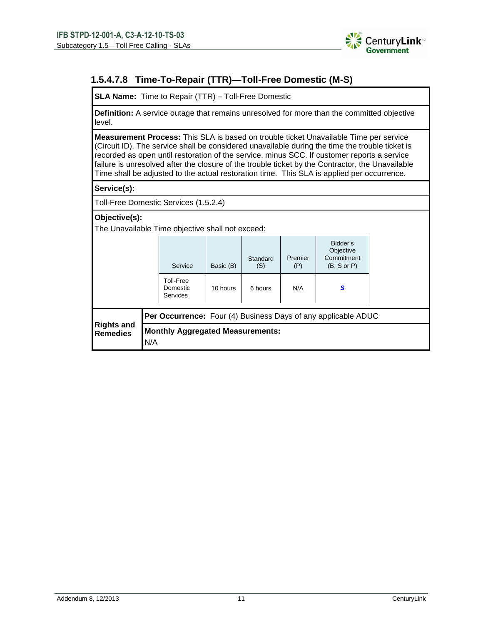

## **1.5.4.7.8 Time-To-Repair (TTR)—Toll-Free Domestic (M-S)**

**SLA Name:** Time to Repair (TTR) – Toll-Free Domestic

**Definition:** A service outage that remains unresolved for more than the committed objective level.

**Measurement Process:** This SLA is based on trouble ticket Unavailable Time per service (Circuit ID). The service shall be considered unavailable during the time the trouble ticket is recorded as open until restoration of the service, minus SCC. If customer reports a service failure is unresolved after the closure of the trouble ticket by the Contractor, the Unavailable Time shall be adjusted to the actual restoration time. This SLA is applied per occurrence.

### **Service(s):**

Toll-Free Domestic Services (1.5.2.4)

### **Objective(s):**

The Unavailable Time objective shall not exceed:

|                                      |                                                | Service                                  | Basic (B) | Standard<br>(S) | Premier<br>(P) | Bidder's<br>Objective<br>Commitment<br>$(B, S \text{ or } P)$        |  |  |
|--------------------------------------|------------------------------------------------|------------------------------------------|-----------|-----------------|----------------|----------------------------------------------------------------------|--|--|
|                                      |                                                | Toll-Free<br>Domestic<br><b>Services</b> | 10 hours  | 6 hours         | N/A            | S                                                                    |  |  |
|                                      |                                                |                                          |           |                 |                | <b>Per Occurrence:</b> Four (4) Business Days of any applicable ADUC |  |  |
| <b>Rights and</b><br><b>Remedies</b> | <b>Monthly Aggregated Measurements:</b><br>N/A |                                          |           |                 |                |                                                                      |  |  |